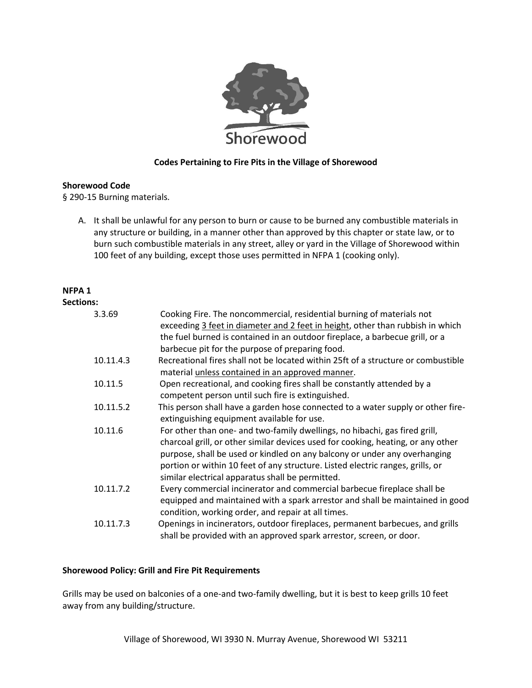

## **Codes Pertaining to Fire Pits in the Village of Shorewood**

## **Shorewood Code**

§ 290-15 Burning materials.

A. It shall be unlawful for any person to burn or cause to be burned any combustible materials in any structure or building, in a manner other than approved by this chapter or state law, or to burn such combustible materials in any street, alley or yard in the Village of Shorewood within 100 feet of any building, except those uses permitted in NFPA 1 (cooking only).

## **NFPA 1**

| <b>Sections:</b> |                                                                                                                                                                                                                                                                                                                                                                                   |
|------------------|-----------------------------------------------------------------------------------------------------------------------------------------------------------------------------------------------------------------------------------------------------------------------------------------------------------------------------------------------------------------------------------|
| 3.3.69           | Cooking Fire. The noncommercial, residential burning of materials not<br>exceeding 3 feet in diameter and 2 feet in height, other than rubbish in which<br>the fuel burned is contained in an outdoor fireplace, a barbecue grill, or a<br>barbecue pit for the purpose of preparing food.                                                                                        |
| 10.11.4.3        | Recreational fires shall not be located within 25ft of a structure or combustible<br>material unless contained in an approved manner.                                                                                                                                                                                                                                             |
| 10.11.5          | Open recreational, and cooking fires shall be constantly attended by a<br>competent person until such fire is extinguished.                                                                                                                                                                                                                                                       |
| 10.11.5.2        | This person shall have a garden hose connected to a water supply or other fire-<br>extinguishing equipment available for use.                                                                                                                                                                                                                                                     |
| 10.11.6          | For other than one- and two-family dwellings, no hibachi, gas fired grill,<br>charcoal grill, or other similar devices used for cooking, heating, or any other<br>purpose, shall be used or kindled on any balcony or under any overhanging<br>portion or within 10 feet of any structure. Listed electric ranges, grills, or<br>similar electrical apparatus shall be permitted. |
| 10.11.7.2        | Every commercial incinerator and commercial barbecue fireplace shall be<br>equipped and maintained with a spark arrestor and shall be maintained in good<br>condition, working order, and repair at all times.                                                                                                                                                                    |
| 10.11.7.3        | Openings in incinerators, outdoor fireplaces, permanent barbecues, and grills<br>shall be provided with an approved spark arrestor, screen, or door.                                                                                                                                                                                                                              |

## **Shorewood Policy: Grill and Fire Pit Requirements**

Grills may be used on balconies of a one-and two-family dwelling, but it is best to keep grills 10 feet away from any building/structure.